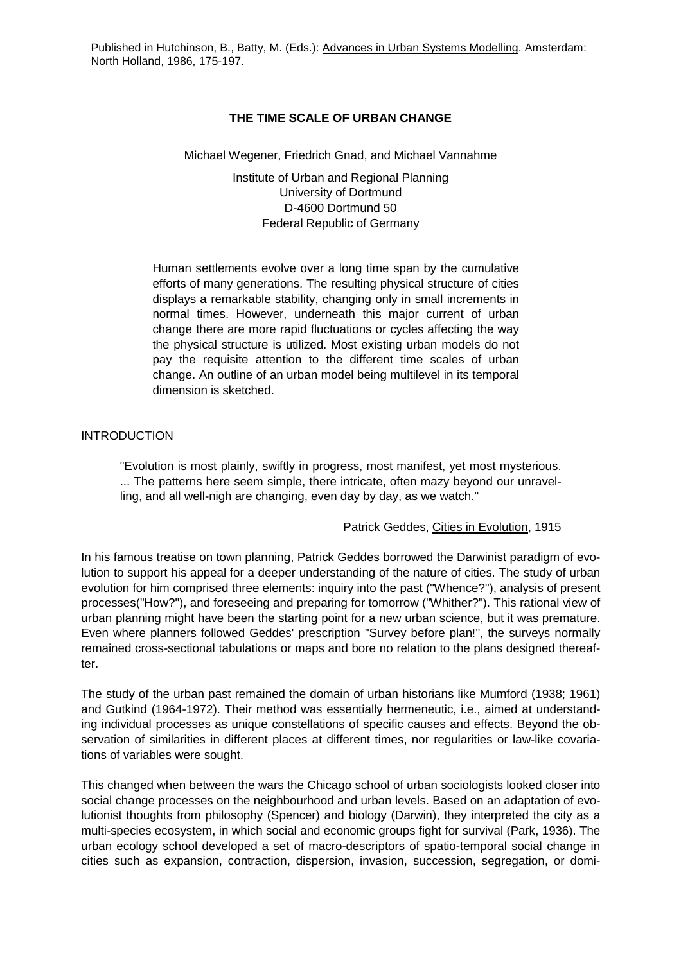## **THE TIME SCALE OF URBAN CHANGE**

### Michael Wegener, Friedrich Gnad, and Michael Vannahme

Institute of Urban and Regional Planning University of Dortmund D-4600 Dortmund 50 Federal Republic of Germany

Human settlements evolve over a long time span by the cumulative efforts of many generations. The resulting physical structure of cities displays a remarkable stability, changing only in small increments in normal times. However, underneath this major current of urban change there are more rapid fluctuations or cycles affecting the way the physical structure is utilized. Most existing urban models do not pay the requisite attention to the different time scales of urban change. An outline of an urban model being multilevel in its temporal dimension is sketched.

## INTRODUCTION

"Evolution is most plainly, swiftly in progress, most manifest, yet most mysterious. ... The patterns here seem simple, there intricate, often mazy beyond our unravelling, and all well-nigh are changing, even day by day, as we watch."

### Patrick Geddes, Cities in Evolution, 1915

In his famous treatise on town planning, Patrick Geddes borrowed the Darwinist paradigm of evolution to support his appeal for a deeper understanding of the nature of cities. The study of urban evolution for him comprised three elements: inquiry into the past ("Whence?"), analysis of present processes("How?"), and foreseeing and preparing for tomorrow ("Whither?"). This rational view of urban planning might have been the starting point for a new urban science, but it was premature. Even where planners followed Geddes' prescription "Survey before plan!", the surveys normally remained cross-sectional tabulations or maps and bore no relation to the plans designed thereafter.

The study of the urban past remained the domain of urban historians like Mumford (1938; 1961) and Gutkind (1964-1972). Their method was essentially hermeneutic, i.e., aimed at understanding individual processes as unique constellations of specific causes and effects. Beyond the observation of similarities in different places at different times, nor regularities or law-like covariations of variables were sought.

This changed when between the wars the Chicago school of urban sociologists looked closer into social change processes on the neighbourhood and urban levels. Based on an adaptation of evolutionist thoughts from philosophy (Spencer) and biology (Darwin), they interpreted the city as a multi-species ecosystem, in which social and economic groups fight for survival (Park, 1936). The urban ecology school developed a set of macro-descriptors of spatio-temporal social change in cities such as expansion, contraction, dispersion, invasion, succession, segregation, or domi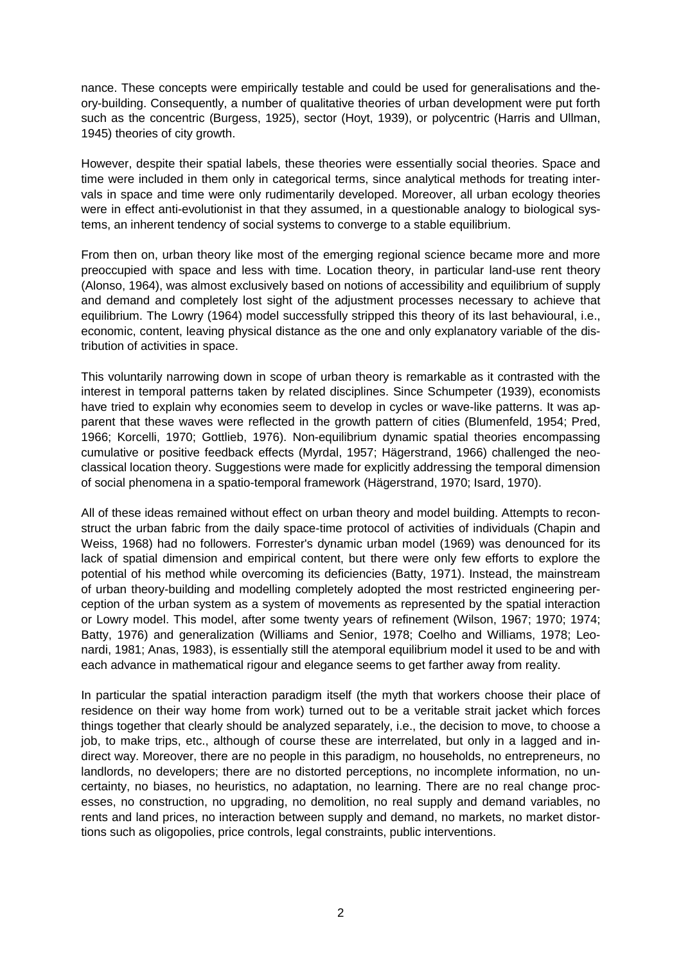nance. These concepts were empirically testable and could be used for generalisations and theory-building. Consequently, a number of qualitative theories of urban development were put forth such as the concentric (Burgess, 1925), sector (Hoyt, 1939), or polycentric (Harris and Ullman, 1945) theories of city growth.

However, despite their spatial labels, these theories were essentially social theories. Space and time were included in them only in categorical terms, since analytical methods for treating intervals in space and time were only rudimentarily developed. Moreover, all urban ecology theories were in effect anti-evolutionist in that they assumed, in a questionable analogy to biological systems, an inherent tendency of social systems to converge to a stable equilibrium.

From then on, urban theory like most of the emerging regional science became more and more preoccupied with space and less with time. Location theory, in particular land-use rent theory (Alonso, 1964), was almost exclusively based on notions of accessibility and equilibrium of supply and demand and completely lost sight of the adjustment processes necessary to achieve that equilibrium. The Lowry (1964) model successfully stripped this theory of its last behavioural, i.e., economic, content, leaving physical distance as the one and only explanatory variable of the distribution of activities in space.

This voluntarily narrowing down in scope of urban theory is remarkable as it contrasted with the interest in temporal patterns taken by related disciplines. Since Schumpeter (1939), economists have tried to explain why economies seem to develop in cycles or wave-like patterns. It was apparent that these waves were reflected in the growth pattern of cities (Blumenfeld, 1954; Pred, 1966; Korcelli, 1970; Gottlieb, 1976). Non-equilibrium dynamic spatial theories encompassing cumulative or positive feedback effects (Myrdal, 1957; Hägerstrand, 1966) challenged the neoclassical location theory. Suggestions were made for explicitly addressing the temporal dimension of social phenomena in a spatio-temporal framework (Hägerstrand, 1970; Isard, 1970).

All of these ideas remained without effect on urban theory and model building. Attempts to reconstruct the urban fabric from the daily space-time protocol of activities of individuals (Chapin and Weiss, 1968) had no followers. Forrester's dynamic urban model (1969) was denounced for its lack of spatial dimension and empirical content, but there were only few efforts to explore the potential of his method while overcoming its deficiencies (Batty, 1971). Instead, the mainstream of urban theory-building and modelling completely adopted the most restricted engineering perception of the urban system as a system of movements as represented by the spatial interaction or Lowry model. This model, after some twenty years of refinement (Wilson, 1967; 1970; 1974; Batty, 1976) and generalization (Williams and Senior, 1978; Coelho and Williams, 1978; Leonardi, 1981; Anas, 1983), is essentially still the atemporal equilibrium model it used to be and with each advance in mathematical rigour and elegance seems to get farther away from reality.

In particular the spatial interaction paradigm itself (the myth that workers choose their place of residence on their way home from work) turned out to be a veritable strait jacket which forces things together that clearly should be analyzed separately, i.e., the decision to move, to choose a job, to make trips, etc., although of course these are interrelated, but only in a lagged and indirect way. Moreover, there are no people in this paradigm, no households, no entrepreneurs, no landlords, no developers; there are no distorted perceptions, no incomplete information, no uncertainty, no biases, no heuristics, no adaptation, no learning. There are no real change processes, no construction, no upgrading, no demolition, no real supply and demand variables, no rents and land prices, no interaction between supply and demand, no markets, no market distortions such as oligopolies, price controls, legal constraints, public interventions.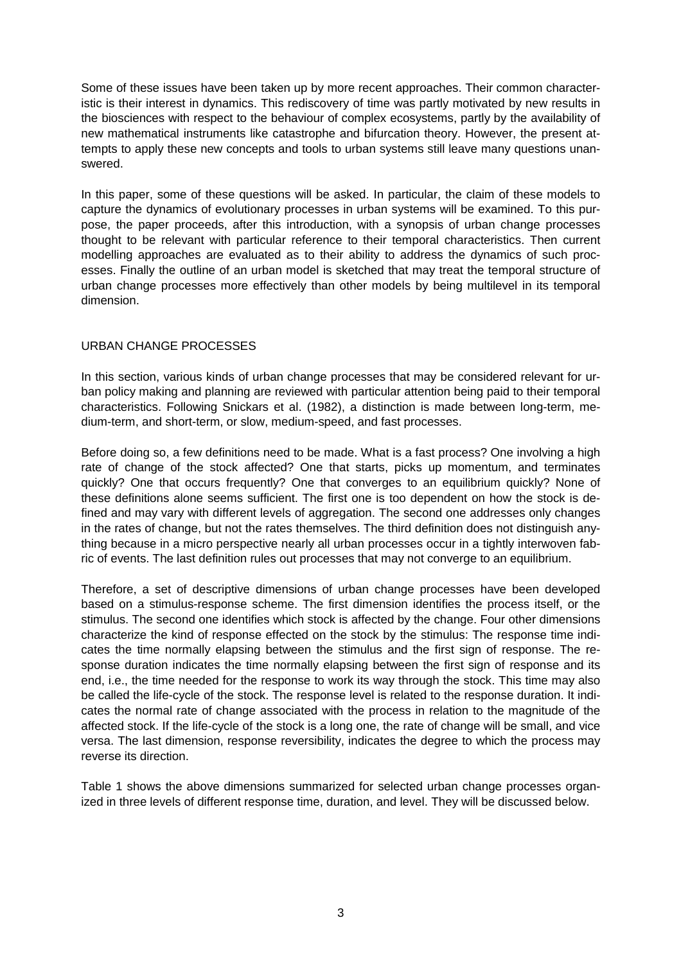Some of these issues have been taken up by more recent approaches. Their common characteristic is their interest in dynamics. This rediscovery of time was partly motivated by new results in the biosciences with respect to the behaviour of complex ecosystems, partly by the availability of new mathematical instruments like catastrophe and bifurcation theory. However, the present attempts to apply these new concepts and tools to urban systems still leave many questions unanswered.

In this paper, some of these questions will be asked. In particular, the claim of these models to capture the dynamics of evolutionary processes in urban systems will be examined. To this purpose, the paper proceeds, after this introduction, with a synopsis of urban change processes thought to be relevant with particular reference to their temporal characteristics. Then current modelling approaches are evaluated as to their ability to address the dynamics of such processes. Finally the outline of an urban model is sketched that may treat the temporal structure of urban change processes more effectively than other models by being multilevel in its temporal dimension.

# URBAN CHANGE PROCESSES

In this section, various kinds of urban change processes that may be considered relevant for urban policy making and planning are reviewed with particular attention being paid to their temporal characteristics. Following Snickars et al. (1982), a distinction is made between long-term, medium-term, and short-term, or slow, medium-speed, and fast processes.

Before doing so, a few definitions need to be made. What is a fast process? One involving a high rate of change of the stock affected? One that starts, picks up momentum, and terminates quickly? One that occurs frequently? One that converges to an equilibrium quickly? None of these definitions alone seems sufficient. The first one is too dependent on how the stock is defined and may vary with different levels of aggregation. The second one addresses only changes in the rates of change, but not the rates themselves. The third definition does not distinguish anything because in a micro perspective nearly all urban processes occur in a tightly interwoven fabric of events. The last definition rules out processes that may not converge to an equilibrium.

Therefore, a set of descriptive dimensions of urban change processes have been developed based on a stimulus-response scheme. The first dimension identifies the process itself, or the stimulus. The second one identifies which stock is affected by the change. Four other dimensions characterize the kind of response effected on the stock by the stimulus: The response time indicates the time normally elapsing between the stimulus and the first sign of response. The response duration indicates the time normally elapsing between the first sign of response and its end, i.e., the time needed for the response to work its way through the stock. This time may also be called the life-cycle of the stock. The response level is related to the response duration. It indicates the normal rate of change associated with the process in relation to the magnitude of the affected stock. If the life-cycle of the stock is a long one, the rate of change will be small, and vice versa. The last dimension, response reversibility, indicates the degree to which the process may reverse its direction.

Table 1 shows the above dimensions summarized for selected urban change processes organized in three levels of different response time, duration, and level. They will be discussed below.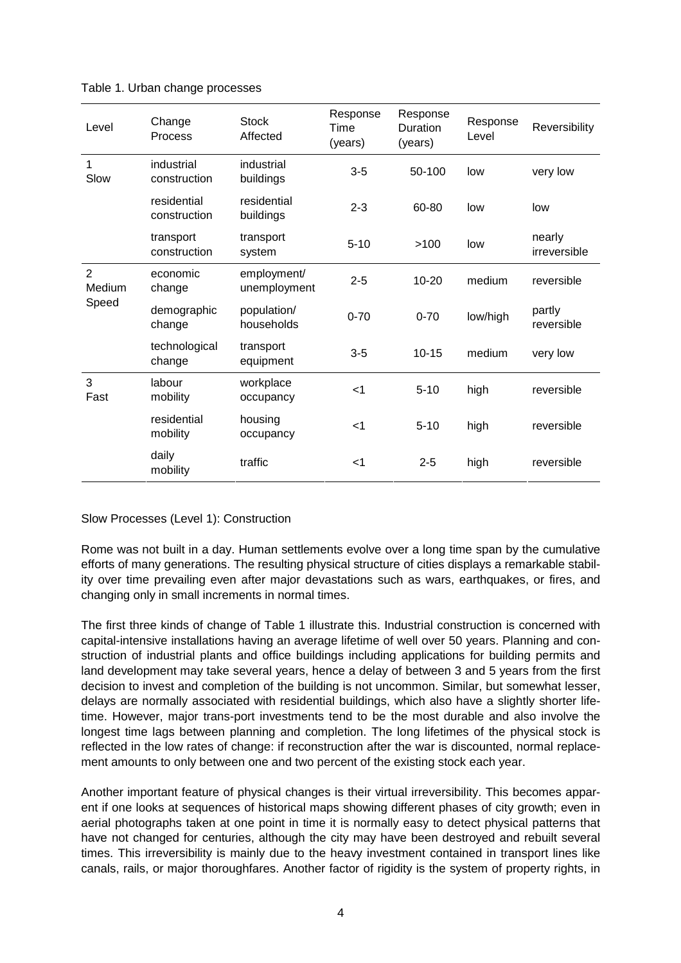| Level                             | Change<br>Process           | <b>Stock</b><br>Affected    | Response<br>Time<br>(years) | Response<br><b>Duration</b><br>(years) | Response<br>Level | Reversibility          |
|-----------------------------------|-----------------------------|-----------------------------|-----------------------------|----------------------------------------|-------------------|------------------------|
| 1<br>Slow                         | industrial<br>construction  | industrial<br>buildings     | $3-5$                       | 50-100                                 | low               | very low               |
|                                   | residential<br>construction | residential<br>buildings    | $2 - 3$                     | 60-80                                  | low               | low                    |
|                                   | transport<br>construction   | transport<br>system         | $5 - 10$                    | >100                                   | low               | nearly<br>irreversible |
| $\overline{2}$<br>Medium<br>Speed | economic<br>change          | employment/<br>unemployment | $2 - 5$                     | 10-20                                  | medium            | reversible             |
|                                   | demographic<br>change       | population/<br>households   | $0 - 70$                    | $0 - 70$                               | low/high          | partly<br>reversible   |
|                                   | technological<br>change     | transport<br>equipment      | $3-5$                       | $10 - 15$                              | medium            | very low               |
| 3<br>Fast                         | labour<br>mobility          | workplace<br>occupancy      | $<$ 1                       | $5 - 10$                               | high              | reversible             |
|                                   | residential<br>mobility     | housing<br>occupancy        | $<$ 1                       | $5 - 10$                               | high              | reversible             |
|                                   | daily<br>mobility           | traffic                     | $<$ 1                       | $2 - 5$                                | high              | reversible             |

#### Table 1. Urban change processes

Slow Processes (Level 1): Construction

Rome was not built in a day. Human settlements evolve over a long time span by the cumulative efforts of many generations. The resulting physical structure of cities displays a remarkable stability over time prevailing even after major devastations such as wars, earthquakes, or fires, and changing only in small increments in normal times.

The first three kinds of change of Table 1 illustrate this. Industrial construction is concerned with capital-intensive installations having an average lifetime of well over 50 years. Planning and construction of industrial plants and office buildings including applications for building permits and land development may take several years, hence a delay of between 3 and 5 years from the first decision to invest and completion of the building is not uncommon. Similar, but somewhat lesser, delays are normally associated with residential buildings, which also have a slightly shorter lifetime. However, major trans-port investments tend to be the most durable and also involve the longest time lags between planning and completion. The long lifetimes of the physical stock is reflected in the low rates of change: if reconstruction after the war is discounted, normal replacement amounts to only between one and two percent of the existing stock each year.

Another important feature of physical changes is their virtual irreversibility. This becomes apparent if one looks at sequences of historical maps showing different phases of city growth; even in aerial photographs taken at one point in time it is normally easy to detect physical patterns that have not changed for centuries, although the city may have been destroyed and rebuilt several times. This irreversibility is mainly due to the heavy investment contained in transport lines like canals, rails, or major thoroughfares. Another factor of rigidity is the system of property rights, in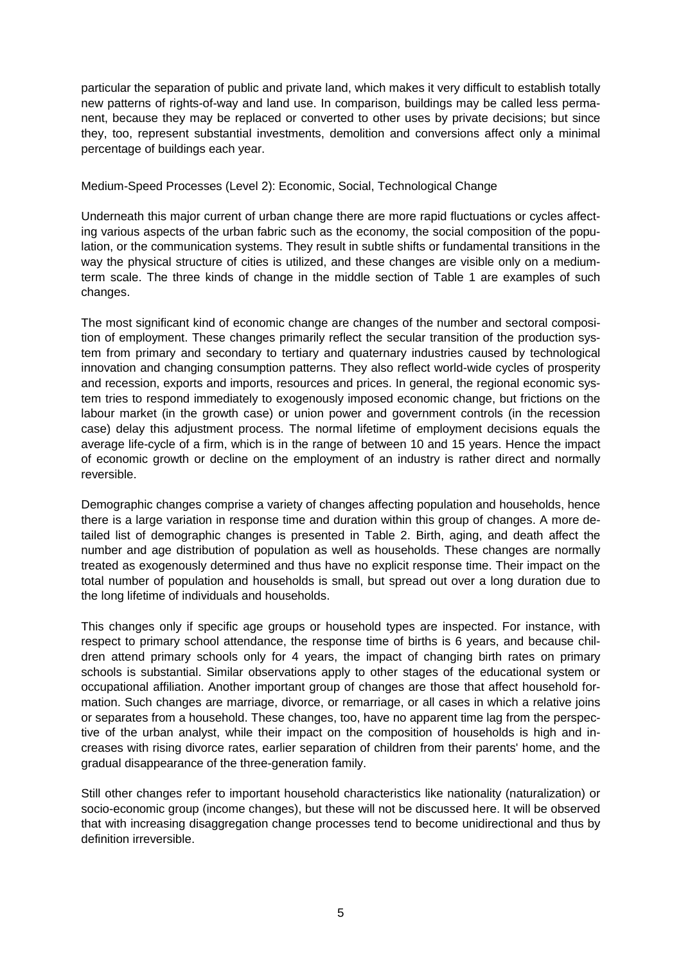particular the separation of public and private land, which makes it very difficult to establish totally new patterns of rights-of-way and land use. In comparison, buildings may be called less permanent, because they may be replaced or converted to other uses by private decisions; but since they, too, represent substantial investments, demolition and conversions affect only a minimal percentage of buildings each year.

### Medium-Speed Processes (Level 2): Economic, Social, Technological Change

Underneath this major current of urban change there are more rapid fluctuations or cycles affecting various aspects of the urban fabric such as the economy, the social composition of the population, or the communication systems. They result in subtle shifts or fundamental transitions in the way the physical structure of cities is utilized, and these changes are visible only on a mediumterm scale. The three kinds of change in the middle section of Table 1 are examples of such changes.

The most significant kind of economic change are changes of the number and sectoral composition of employment. These changes primarily reflect the secular transition of the production system from primary and secondary to tertiary and quaternary industries caused by technological innovation and changing consumption patterns. They also reflect world-wide cycles of prosperity and recession, exports and imports, resources and prices. In general, the regional economic system tries to respond immediately to exogenously imposed economic change, but frictions on the labour market (in the growth case) or union power and government controls (in the recession case) delay this adjustment process. The normal lifetime of employment decisions equals the average life-cycle of a firm, which is in the range of between 10 and 15 years. Hence the impact of economic growth or decline on the employment of an industry is rather direct and normally reversible.

Demographic changes comprise a variety of changes affecting population and households, hence there is a large variation in response time and duration within this group of changes. A more detailed list of demographic changes is presented in Table 2. Birth, aging, and death affect the number and age distribution of population as well as households. These changes are normally treated as exogenously determined and thus have no explicit response time. Their impact on the total number of population and households is small, but spread out over a long duration due to the long lifetime of individuals and households.

This changes only if specific age groups or household types are inspected. For instance, with respect to primary school attendance, the response time of births is 6 years, and because children attend primary schools only for 4 years, the impact of changing birth rates on primary schools is substantial. Similar observations apply to other stages of the educational system or occupational affiliation. Another important group of changes are those that affect household formation. Such changes are marriage, divorce, or remarriage, or all cases in which a relative joins or separates from a household. These changes, too, have no apparent time lag from the perspective of the urban analyst, while their impact on the composition of households is high and increases with rising divorce rates, earlier separation of children from their parents' home, and the gradual disappearance of the three-generation family.

Still other changes refer to important household characteristics like nationality (naturalization) or socio-economic group (income changes), but these will not be discussed here. It will be observed that with increasing disaggregation change processes tend to become unidirectional and thus by definition irreversible.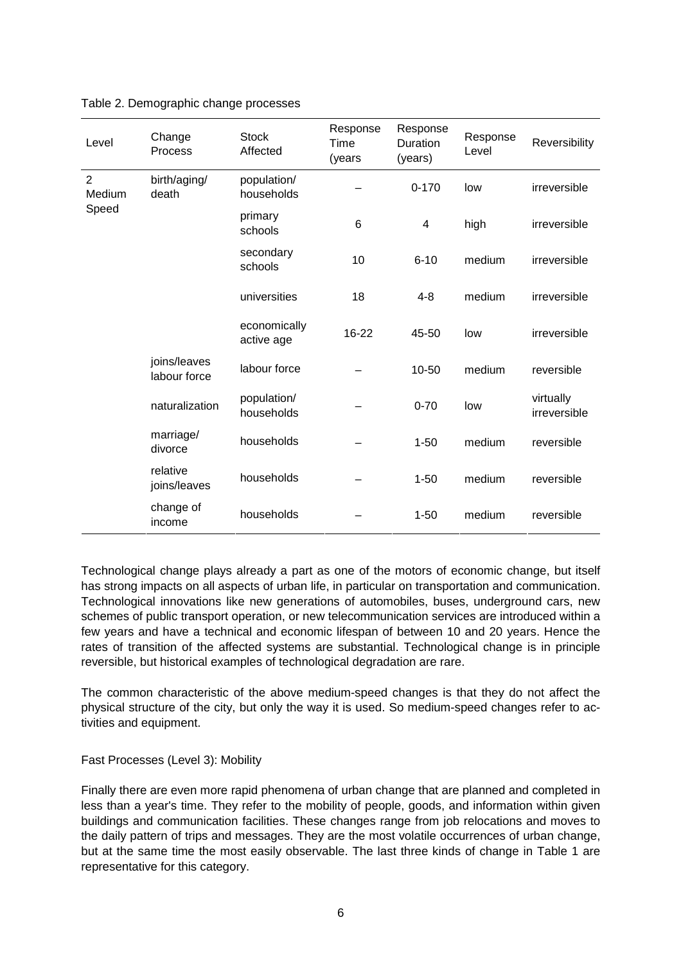| Level                             | Change<br>Process            | <b>Stock</b><br>Affected   | Response<br>Time<br>(years | Response<br>Duration<br>(years) | Response<br>Level | Reversibility             |
|-----------------------------------|------------------------------|----------------------------|----------------------------|---------------------------------|-------------------|---------------------------|
| $\overline{2}$<br>Medium<br>Speed | birth/aging/<br>death        | population/<br>households  |                            | $0 - 170$                       | low               | irreversible              |
|                                   |                              | primary<br>schools         | 6                          | $\overline{\mathcal{A}}$        | high              | irreversible              |
|                                   |                              | secondary<br>schools       | 10                         | $6 - 10$                        | medium            | irreversible              |
|                                   |                              | universities               | 18                         | $4 - 8$                         | medium            | irreversible              |
|                                   |                              | economically<br>active age | 16-22                      | 45-50                           | low               | irreversible              |
|                                   | joins/leaves<br>labour force | labour force               |                            | 10-50                           | medium            | reversible                |
|                                   | naturalization               | population/<br>households  |                            | $0 - 70$                        | low               | virtually<br>irreversible |
|                                   | marriage/<br>divorce         | households                 |                            | $1 - 50$                        | medium            | reversible                |
|                                   | relative<br>joins/leaves     | households                 |                            | $1 - 50$                        | medium            | reversible                |
|                                   | change of<br>income          | households                 |                            | $1 - 50$                        | medium            | reversible                |

### Table 2. Demographic change processes

Technological change plays already a part as one of the motors of economic change, but itself has strong impacts on all aspects of urban life, in particular on transportation and communication. Technological innovations like new generations of automobiles, buses, underground cars, new schemes of public transport operation, or new telecommunication services are introduced within a few years and have a technical and economic lifespan of between 10 and 20 years. Hence the rates of transition of the affected systems are substantial. Technological change is in principle reversible, but historical examples of technological degradation are rare.

The common characteristic of the above medium-speed changes is that they do not affect the physical structure of the city, but only the way it is used. So medium-speed changes refer to activities and equipment.

Fast Processes (Level 3): Mobility

Finally there are even more rapid phenomena of urban change that are planned and completed in less than a year's time. They refer to the mobility of people, goods, and information within given buildings and communication facilities. These changes range from job relocations and moves to the daily pattern of trips and messages. They are the most volatile occurrences of urban change, but at the same time the most easily observable. The last three kinds of change in Table 1 are representative for this category.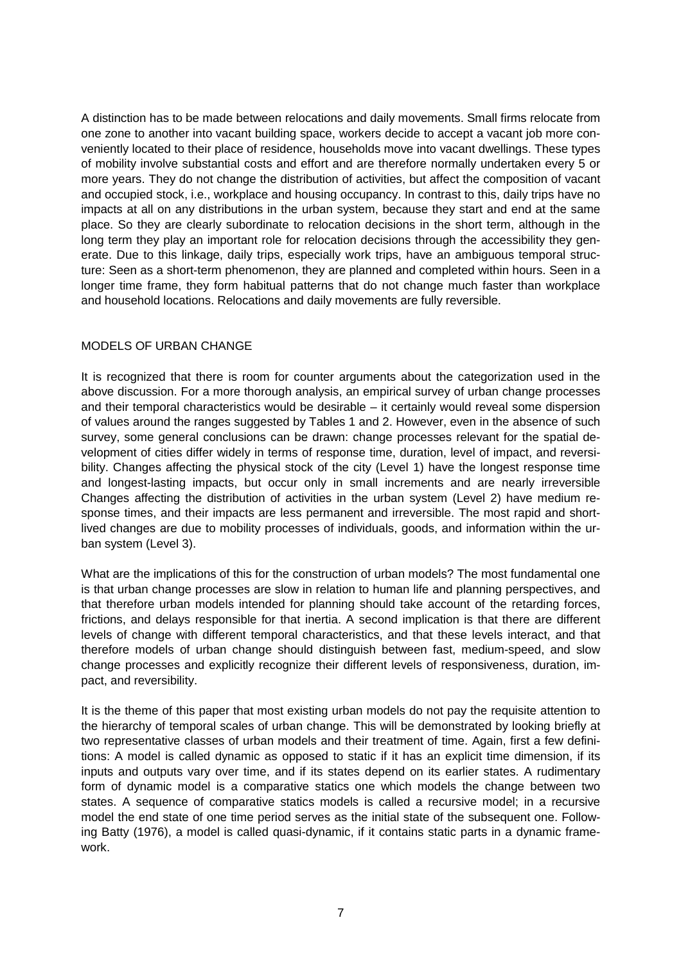A distinction has to be made between relocations and daily movements. Small firms relocate from one zone to another into vacant building space, workers decide to accept a vacant job more conveniently located to their place of residence, households move into vacant dwellings. These types of mobility involve substantial costs and effort and are therefore normally undertaken every 5 or more years. They do not change the distribution of activities, but affect the composition of vacant and occupied stock, i.e., workplace and housing occupancy. In contrast to this, daily trips have no impacts at all on any distributions in the urban system, because they start and end at the same place. So they are clearly subordinate to relocation decisions in the short term, although in the long term they play an important role for relocation decisions through the accessibility they generate. Due to this linkage, daily trips, especially work trips, have an ambiguous temporal structure: Seen as a short-term phenomenon, they are planned and completed within hours. Seen in a longer time frame, they form habitual patterns that do not change much faster than workplace and household locations. Relocations and daily movements are fully reversible.

### MODELS OF URBAN CHANGE

It is recognized that there is room for counter arguments about the categorization used in the above discussion. For a more thorough analysis, an empirical survey of urban change processes and their temporal characteristics would be desirable – it certainly would reveal some dispersion of values around the ranges suggested by Tables 1 and 2. However, even in the absence of such survey, some general conclusions can be drawn: change processes relevant for the spatial development of cities differ widely in terms of response time, duration, level of impact, and reversibility. Changes affecting the physical stock of the city (Level 1) have the longest response time and longest-lasting impacts, but occur only in small increments and are nearly irreversible Changes affecting the distribution of activities in the urban system (Level 2) have medium response times, and their impacts are less permanent and irreversible. The most rapid and shortlived changes are due to mobility processes of individuals, goods, and information within the urban system (Level 3).

What are the implications of this for the construction of urban models? The most fundamental one is that urban change processes are slow in relation to human life and planning perspectives, and that therefore urban models intended for planning should take account of the retarding forces, frictions, and delays responsible for that inertia. A second implication is that there are different levels of change with different temporal characteristics, and that these levels interact, and that therefore models of urban change should distinguish between fast, medium-speed, and slow change processes and explicitly recognize their different levels of responsiveness, duration, impact, and reversibility.

It is the theme of this paper that most existing urban models do not pay the requisite attention to the hierarchy of temporal scales of urban change. This will be demonstrated by looking briefly at two representative classes of urban models and their treatment of time. Again, first a few definitions: A model is called dynamic as opposed to static if it has an explicit time dimension, if its inputs and outputs vary over time, and if its states depend on its earlier states. A rudimentary form of dynamic model is a comparative statics one which models the change between two states. A sequence of comparative statics models is called a recursive model; in a recursive model the end state of one time period serves as the initial state of the subsequent one. Following Batty (1976), a model is called quasi-dynamic, if it contains static parts in a dynamic framework.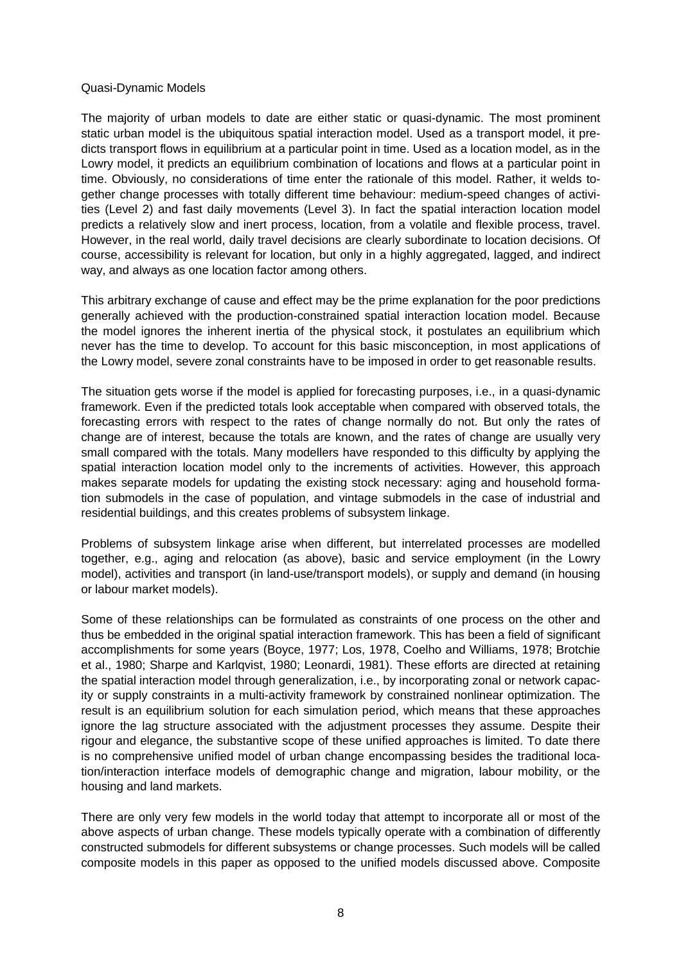#### Quasi-Dynamic Models

The majority of urban models to date are either static or quasi-dynamic. The most prominent static urban model is the ubiquitous spatial interaction model. Used as a transport model, it predicts transport flows in equilibrium at a particular point in time. Used as a location model, as in the Lowry model, it predicts an equilibrium combination of locations and flows at a particular point in time. Obviously, no considerations of time enter the rationale of this model. Rather, it welds together change processes with totally different time behaviour: medium-speed changes of activities (Level 2) and fast daily movements (Level 3). In fact the spatial interaction location model predicts a relatively slow and inert process, location, from a volatile and flexible process, travel. However, in the real world, daily travel decisions are clearly subordinate to location decisions. Of course, accessibility is relevant for location, but only in a highly aggregated, lagged, and indirect way, and always as one location factor among others.

This arbitrary exchange of cause and effect may be the prime explanation for the poor predictions generally achieved with the production-constrained spatial interaction location model. Because the model ignores the inherent inertia of the physical stock, it postulates an equilibrium which never has the time to develop. To account for this basic misconception, in most applications of the Lowry model, severe zonal constraints have to be imposed in order to get reasonable results.

The situation gets worse if the model is applied for forecasting purposes, i.e., in a quasi-dynamic framework. Even if the predicted totals look acceptable when compared with observed totals, the forecasting errors with respect to the rates of change normally do not. But only the rates of change are of interest, because the totals are known, and the rates of change are usually very small compared with the totals. Many modellers have responded to this difficulty by applying the spatial interaction location model only to the increments of activities. However, this approach makes separate models for updating the existing stock necessary: aging and household formation submodels in the case of population, and vintage submodels in the case of industrial and residential buildings, and this creates problems of subsystem linkage.

Problems of subsystem linkage arise when different, but interrelated processes are modelled together, e.g., aging and relocation (as above), basic and service employment (in the Lowry model), activities and transport (in land-use/transport models), or supply and demand (in housing or labour market models).

Some of these relationships can be formulated as constraints of one process on the other and thus be embedded in the original spatial interaction framework. This has been a field of significant accomplishments for some years (Boyce, 1977; Los, 1978, Coelho and Williams, 1978; Brotchie et al., 1980; Sharpe and Karlqvist, 1980; Leonardi, 1981). These efforts are directed at retaining the spatial interaction model through generalization, i.e., by incorporating zonal or network capacity or supply constraints in a multi-activity framework by constrained nonlinear optimization. The result is an equilibrium solution for each simulation period, which means that these approaches ignore the lag structure associated with the adjustment processes they assume. Despite their rigour and elegance, the substantive scope of these unified approaches is limited. To date there is no comprehensive unified model of urban change encompassing besides the traditional location/interaction interface models of demographic change and migration, labour mobility, or the housing and land markets.

There are only very few models in the world today that attempt to incorporate all or most of the above aspects of urban change. These models typically operate with a combination of differently constructed submodels for different subsystems or change processes. Such models will be called composite models in this paper as opposed to the unified models discussed above. Composite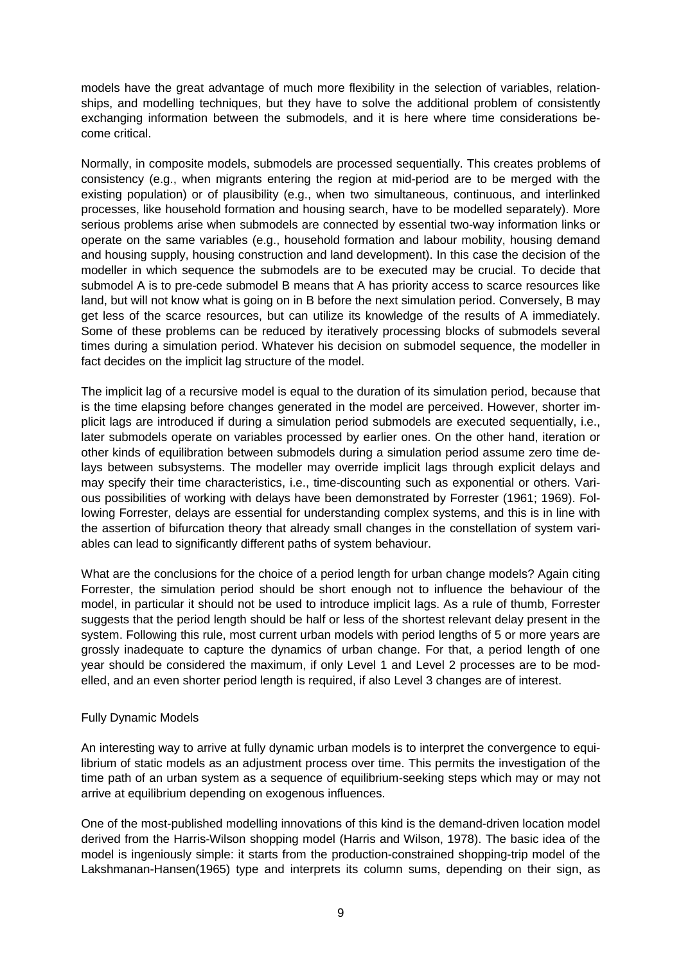models have the great advantage of much more flexibility in the selection of variables, relationships, and modelling techniques, but they have to solve the additional problem of consistently exchanging information between the submodels, and it is here where time considerations become critical.

Normally, in composite models, submodels are processed sequentially. This creates problems of consistency (e.g., when migrants entering the region at mid-period are to be merged with the existing population) or of plausibility (e.g., when two simultaneous, continuous, and interlinked processes, like household formation and housing search, have to be modelled separately). More serious problems arise when submodels are connected by essential two-way information links or operate on the same variables (e.g., household formation and labour mobility, housing demand and housing supply, housing construction and land development). In this case the decision of the modeller in which sequence the submodels are to be executed may be crucial. To decide that submodel A is to pre-cede submodel B means that A has priority access to scarce resources like land, but will not know what is going on in B before the next simulation period. Conversely, B may get less of the scarce resources, but can utilize its knowledge of the results of A immediately. Some of these problems can be reduced by iteratively processing blocks of submodels several times during a simulation period. Whatever his decision on submodel sequence, the modeller in fact decides on the implicit lag structure of the model.

The implicit lag of a recursive model is equal to the duration of its simulation period, because that is the time elapsing before changes generated in the model are perceived. However, shorter implicit lags are introduced if during a simulation period submodels are executed sequentially, i.e., later submodels operate on variables processed by earlier ones. On the other hand, iteration or other kinds of equilibration between submodels during a simulation period assume zero time delays between subsystems. The modeller may override implicit lags through explicit delays and may specify their time characteristics, i.e., time-discounting such as exponential or others. Various possibilities of working with delays have been demonstrated by Forrester (1961; 1969). Following Forrester, delays are essential for understanding complex systems, and this is in line with the assertion of bifurcation theory that already small changes in the constellation of system variables can lead to significantly different paths of system behaviour.

What are the conclusions for the choice of a period length for urban change models? Again citing Forrester, the simulation period should be short enough not to influence the behaviour of the model, in particular it should not be used to introduce implicit lags. As a rule of thumb, Forrester suggests that the period length should be half or less of the shortest relevant delay present in the system. Following this rule, most current urban models with period lengths of 5 or more years are grossly inadequate to capture the dynamics of urban change. For that, a period length of one year should be considered the maximum, if only Level 1 and Level 2 processes are to be modelled, and an even shorter period length is required, if also Level 3 changes are of interest.

# Fully Dynamic Models

An interesting way to arrive at fully dynamic urban models is to interpret the convergence to equilibrium of static models as an adjustment process over time. This permits the investigation of the time path of an urban system as a sequence of equilibrium-seeking steps which may or may not arrive at equilibrium depending on exogenous influences.

One of the most-published modelling innovations of this kind is the demand-driven location model derived from the Harris-Wilson shopping model (Harris and Wilson, 1978). The basic idea of the model is ingeniously simple: it starts from the production-constrained shopping-trip model of the Lakshmanan-Hansen(1965) type and interprets its column sums, depending on their sign, as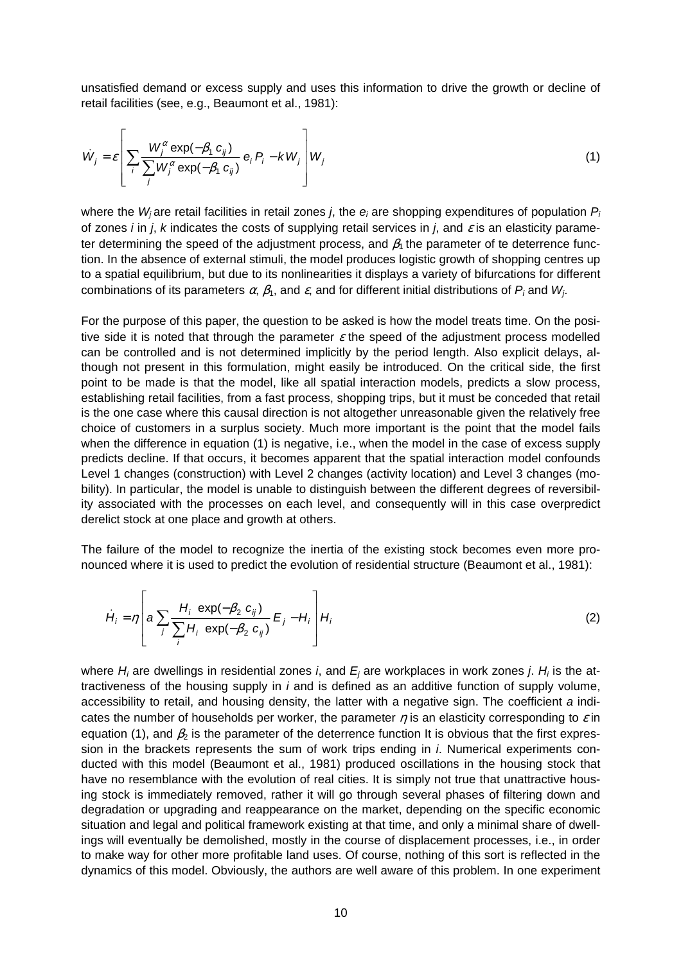unsatisfied demand or excess supply and uses this information to drive the growth or decline of retail facilities (see, e.g., Beaumont et al., 1981):

$$
\dot{W}_j = \varepsilon \left[ \sum_i \frac{W_j^{\alpha} \exp(-\beta_1 \ c_{ij})}{\sum_j W_j^{\alpha} \exp(-\beta_1 \ c_{ij})} \ e_i P_i - \kappa W_j \right] W_j \tag{1}
$$

where the  $W_j$ are retail facilities in retail zones *j*, the  $e_i$  are shopping expenditures of population  $P_i$ of zones *i* in *j*, k indicates the costs of supplying retail services in *j*, and  $\varepsilon$  is an elasticity parameter determining the speed of the adjustment process, and  $\beta_1$  the parameter of te deterrence function. In the absence of external stimuli, the model produces logistic growth of shopping centres up to a spatial equilibrium, but due to its nonlinearities it displays a variety of bifurcations for different combinations of its parameters  $\alpha$ ,  $\beta_1$ , and  $\varepsilon$ , and for different initial distributions of  $P_i$  and  $W_j$ .

For the purpose of this paper, the question to be asked is how the model treats time. On the positive side it is noted that through the parameter  $\varepsilon$  the speed of the adjustment process modelled can be controlled and is not determined implicitly by the period length. Also explicit delays, although not present in this formulation, might easily be introduced. On the critical side, the first point to be made is that the model, like all spatial interaction models, predicts a slow process, establishing retail facilities, from a fast process, shopping trips, but it must be conceded that retail is the one case where this causal direction is not altogether unreasonable given the relatively free choice of customers in a surplus society. Much more important is the point that the model fails when the difference in equation (1) is negative, i.e., when the model in the case of excess supply predicts decline. If that occurs, it becomes apparent that the spatial interaction model confounds Level 1 changes (construction) with Level 2 changes (activity location) and Level 3 changes (mobility). In particular, the model is unable to distinguish between the different degrees of reversibility associated with the processes on each level, and consequently will in this case overpredict derelict stock at one place and growth at others.

The failure of the model to recognize the inertia of the existing stock becomes even more pronounced where it is used to predict the evolution of residential structure (Beaumont et al., 1981):

$$
\dot{H}_i = \eta \left[ a \sum_j \frac{H_i \exp(-\beta_2 \ c_{ij})}{\sum_i H_i \exp(-\beta_2 \ c_{ij})} E_j - H_i \right] H_i \tag{2}
$$

where  $H_i$  are dwellings in residential zones *i*, and  $E_j$  are workplaces in work zones *j. H<sub>i</sub>* is the attractiveness of the housing supply in  $i$  and is defined as an additive function of supply volume, accessibility to retail, and housing density, the latter with a negative sign. The coefficient a indicates the number of households per worker, the parameter  $\eta$  is an elasticity corresponding to  $\varepsilon$  in equation (1), and  $\beta_2$  is the parameter of the deterrence function It is obvious that the first expression in the brackets represents the sum of work trips ending in *i*. Numerical experiments conducted with this model (Beaumont et al., 1981) produced oscillations in the housing stock that have no resemblance with the evolution of real cities. It is simply not true that unattractive housing stock is immediately removed, rather it will go through several phases of filtering down and degradation or upgrading and reappearance on the market, depending on the specific economic situation and legal and political framework existing at that time, and only a minimal share of dwellings will eventually be demolished, mostly in the course of displacement processes, i.e., in order to make way for other more profitable land uses. Of course, nothing of this sort is reflected in the dynamics of this model. Obviously, the authors are well aware of this problem. In one experiment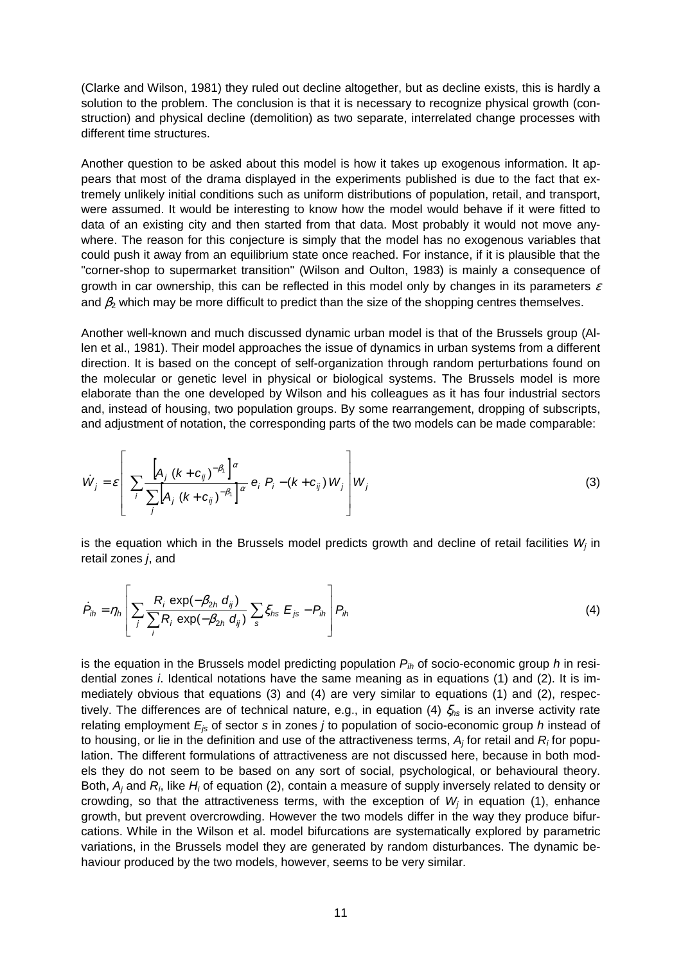(Clarke and Wilson, 1981) they ruled out decline altogether, but as decline exists, this is hardly a solution to the problem. The conclusion is that it is necessary to recognize physical growth (construction) and physical decline (demolition) as two separate, interrelated change processes with different time structures.

Another question to be asked about this model is how it takes up exogenous information. It appears that most of the drama displayed in the experiments published is due to the fact that extremely unlikely initial conditions such as uniform distributions of population, retail, and transport, were assumed. It would be interesting to know how the model would behave if it were fitted to data of an existing city and then started from that data. Most probably it would not move anywhere. The reason for this conjecture is simply that the model has no exogenous variables that could push it away from an equilibrium state once reached. For instance, if it is plausible that the "corner-shop to supermarket transition" (Wilson and Oulton, 1983) is mainly a consequence of growth in car ownership, this can be reflected in this model only by changes in its parameters  $\varepsilon$ and  $\beta_2$  which may be more difficult to predict than the size of the shopping centres themselves.

Another well-known and much discussed dynamic urban model is that of the Brussels group (Allen et al., 1981). Their model approaches the issue of dynamics in urban systems from a different direction. It is based on the concept of self-organization through random perturbations found on the molecular or genetic level in physical or biological systems. The Brussels model is more elaborate than the one developed by Wilson and his colleagues as it has four industrial sectors and, instead of housing, two population groups. By some rearrangement, dropping of subscripts, and adjustment of notation, the corresponding parts of the two models can be made comparable:

$$
\dot{W}_j = \varepsilon \left[ \sum_i \frac{\left[ A_j \left( k + c_{ij} \right)^{-\beta_i} \right]^{\alpha}}{\sum_j \left[ A_j \left( k + c_{ij} \right)^{-\beta_i} \right]^{\alpha}} e_j P_i - \left( k + c_{ij} \right) W_j \right] W_j \tag{3}
$$

is the equation which in the Brussels model predicts growth and decline of retail facilities  $W_j$  in retail zones  $i$ , and

$$
\dot{P}_{ih} = \eta_h \left[ \sum_j \frac{R_i \exp(-\beta_{2h} d_{ij})}{\sum_i R_i \exp(-\beta_{2h} d_{ij})} \sum_s \xi_{hs} E_{js} - P_{ih} \right] P_{ih}
$$
\n(4)

is the equation in the Brussels model predicting population  $P_{ih}$  of socio-economic group h in residential zones *i*. Identical notations have the same meaning as in equations (1) and (2). It is immediately obvious that equations (3) and (4) are very similar to equations (1) and (2), respectively. The differences are of technical nature, e.g., in equation (4)  $\xi_{hs}$  is an inverse activity rate relating employment  $E_{is}$  of sector s in zones *j* to population of socio-economic group *h* instead of to housing, or lie in the definition and use of the attractiveness terms,  $A_j$  for retail and  $R_i$  for population. The different formulations of attractiveness are not discussed here, because in both models they do not seem to be based on any sort of social, psychological, or behavioural theory. Both,  $A_j$  and  $R_i$ , like  $H_i$  of equation (2), contain a measure of supply inversely related to density or crowding, so that the attractiveness terms, with the exception of  $W_j$  in equation (1), enhance growth, but prevent overcrowding. However the two models differ in the way they produce bifurcations. While in the Wilson et al. model bifurcations are systematically explored by parametric variations, in the Brussels model they are generated by random disturbances. The dynamic behaviour produced by the two models, however, seems to be very similar.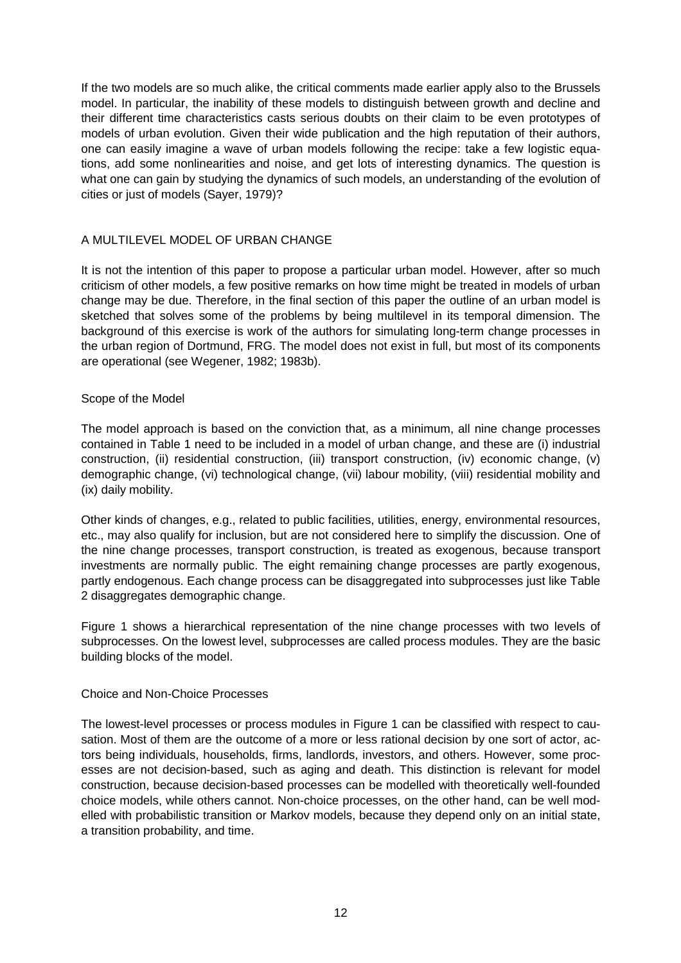If the two models are so much alike, the critical comments made earlier apply also to the Brussels model. In particular, the inability of these models to distinguish between growth and decline and their different time characteristics casts serious doubts on their claim to be even prototypes of models of urban evolution. Given their wide publication and the high reputation of their authors, one can easily imagine a wave of urban models following the recipe: take a few logistic equations, add some nonlinearities and noise, and get lots of interesting dynamics. The question is what one can gain by studying the dynamics of such models, an understanding of the evolution of cities or just of models (Sayer, 1979)?

# A MULTILEVEL MODEL OF URBAN CHANGE

It is not the intention of this paper to propose a particular urban model. However, after so much criticism of other models, a few positive remarks on how time might be treated in models of urban change may be due. Therefore, in the final section of this paper the outline of an urban model is sketched that solves some of the problems by being multilevel in its temporal dimension. The background of this exercise is work of the authors for simulating long-term change processes in the urban region of Dortmund, FRG. The model does not exist in full, but most of its components are operational (see Wegener, 1982; 1983b).

### Scope of the Model

The model approach is based on the conviction that, as a minimum, all nine change processes contained in Table 1 need to be included in a model of urban change, and these are (i) industrial construction, (ii) residential construction, (iii) transport construction, (iv) economic change, (v) demographic change, (vi) technological change, (vii) labour mobility, (viii) residential mobility and (ix) daily mobility.

Other kinds of changes, e.g., related to public facilities, utilities, energy, environmental resources, etc., may also qualify for inclusion, but are not considered here to simplify the discussion. One of the nine change processes, transport construction, is treated as exogenous, because transport investments are normally public. The eight remaining change processes are partly exogenous, partly endogenous. Each change process can be disaggregated into subprocesses just like Table 2 disaggregates demographic change.

Figure 1 shows a hierarchical representation of the nine change processes with two levels of subprocesses. On the lowest level, subprocesses are called process modules. They are the basic building blocks of the model.

### Choice and Non-Choice Processes

The lowest-level processes or process modules in Figure 1 can be classified with respect to causation. Most of them are the outcome of a more or less rational decision by one sort of actor, actors being individuals, households, firms, landlords, investors, and others. However, some processes are not decision-based, such as aging and death. This distinction is relevant for model construction, because decision-based processes can be modelled with theoretically well-founded choice models, while others cannot. Non-choice processes, on the other hand, can be well modelled with probabilistic transition or Markov models, because they depend only on an initial state, a transition probability, and time.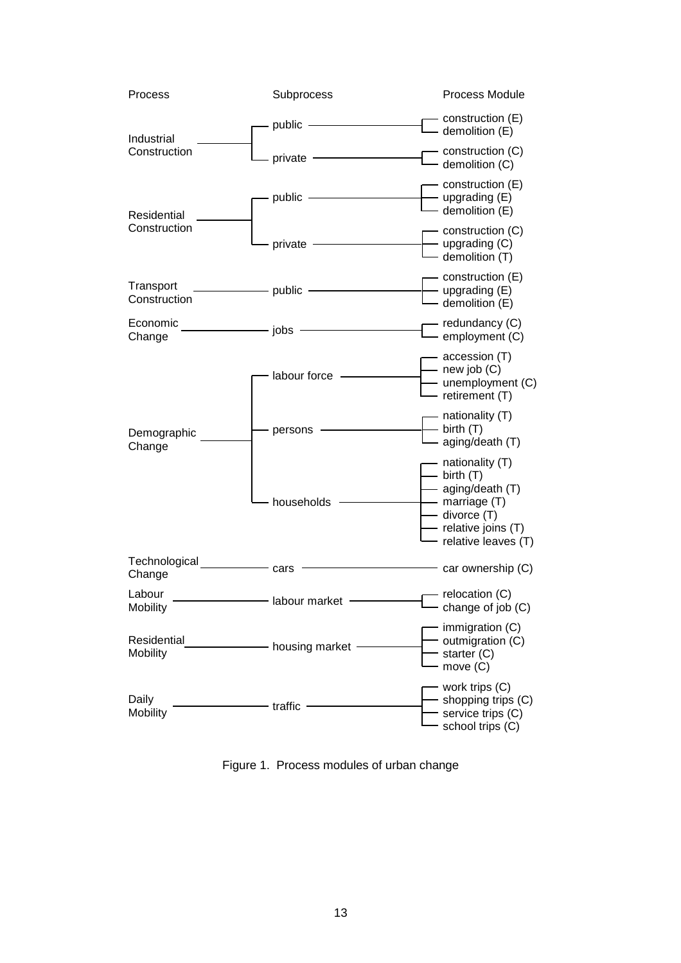

Figure 1. Process modules of urban change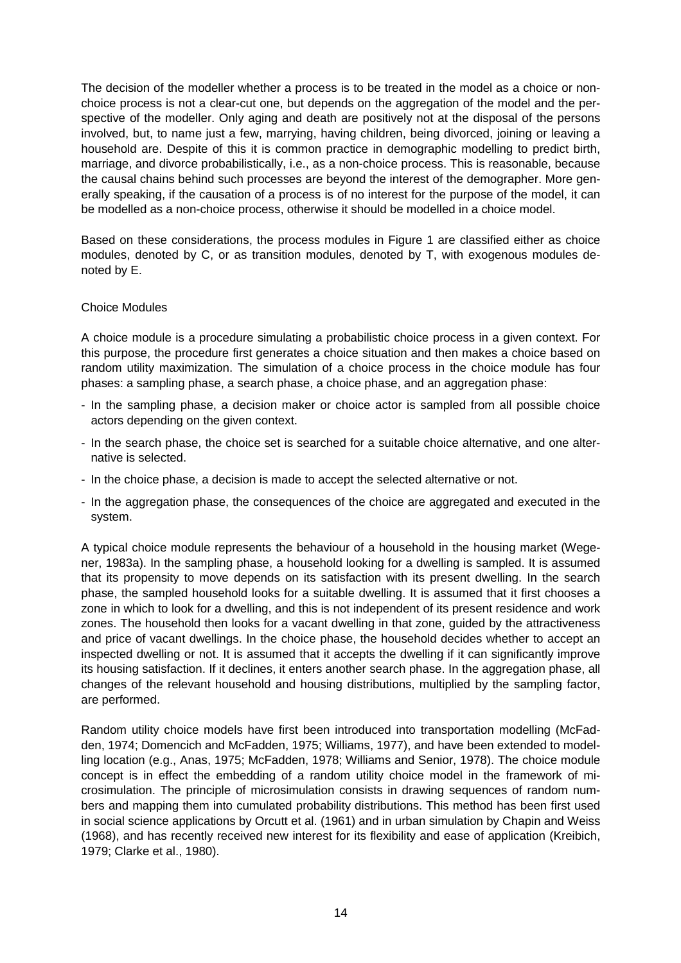The decision of the modeller whether a process is to be treated in the model as a choice or nonchoice process is not a clear-cut one, but depends on the aggregation of the model and the perspective of the modeller. Only aging and death are positively not at the disposal of the persons involved, but, to name just a few, marrying, having children, being divorced, joining or leaving a household are. Despite of this it is common practice in demographic modelling to predict birth, marriage, and divorce probabilistically, i.e., as a non-choice process. This is reasonable, because the causal chains behind such processes are beyond the interest of the demographer. More generally speaking, if the causation of a process is of no interest for the purpose of the model, it can be modelled as a non-choice process, otherwise it should be modelled in a choice model.

Based on these considerations, the process modules in Figure 1 are classified either as choice modules, denoted by C, or as transition modules, denoted by T, with exogenous modules denoted by E.

## Choice Modules

A choice module is a procedure simulating a probabilistic choice process in a given context. For this purpose, the procedure first generates a choice situation and then makes a choice based on random utility maximization. The simulation of a choice process in the choice module has four phases: a sampling phase, a search phase, a choice phase, and an aggregation phase:

- In the sampling phase, a decision maker or choice actor is sampled from all possible choice actors depending on the given context.
- In the search phase, the choice set is searched for a suitable choice alternative, and one alternative is selected.
- In the choice phase, a decision is made to accept the selected alternative or not.
- In the aggregation phase, the consequences of the choice are aggregated and executed in the system.

A typical choice module represents the behaviour of a household in the housing market (Wegener, 1983a). In the sampling phase, a household looking for a dwelling is sampled. It is assumed that its propensity to move depends on its satisfaction with its present dwelling. In the search phase, the sampled household looks for a suitable dwelling. It is assumed that it first chooses a zone in which to look for a dwelling, and this is not independent of its present residence and work zones. The household then looks for a vacant dwelling in that zone, guided by the attractiveness and price of vacant dwellings. In the choice phase, the household decides whether to accept an inspected dwelling or not. It is assumed that it accepts the dwelling if it can significantly improve its housing satisfaction. If it declines, it enters another search phase. In the aggregation phase, all changes of the relevant household and housing distributions, multiplied by the sampling factor, are performed.

Random utility choice models have first been introduced into transportation modelling (McFadden, 1974; Domencich and McFadden, 1975; Williams, 1977), and have been extended to modelling location (e.g., Anas, 1975; McFadden, 1978; Williams and Senior, 1978). The choice module concept is in effect the embedding of a random utility choice model in the framework of microsimulation. The principle of microsimulation consists in drawing sequences of random numbers and mapping them into cumulated probability distributions. This method has been first used in social science applications by Orcutt et al. (1961) and in urban simulation by Chapin and Weiss (1968), and has recently received new interest for its flexibility and ease of application (Kreibich, 1979; Clarke et al., 1980).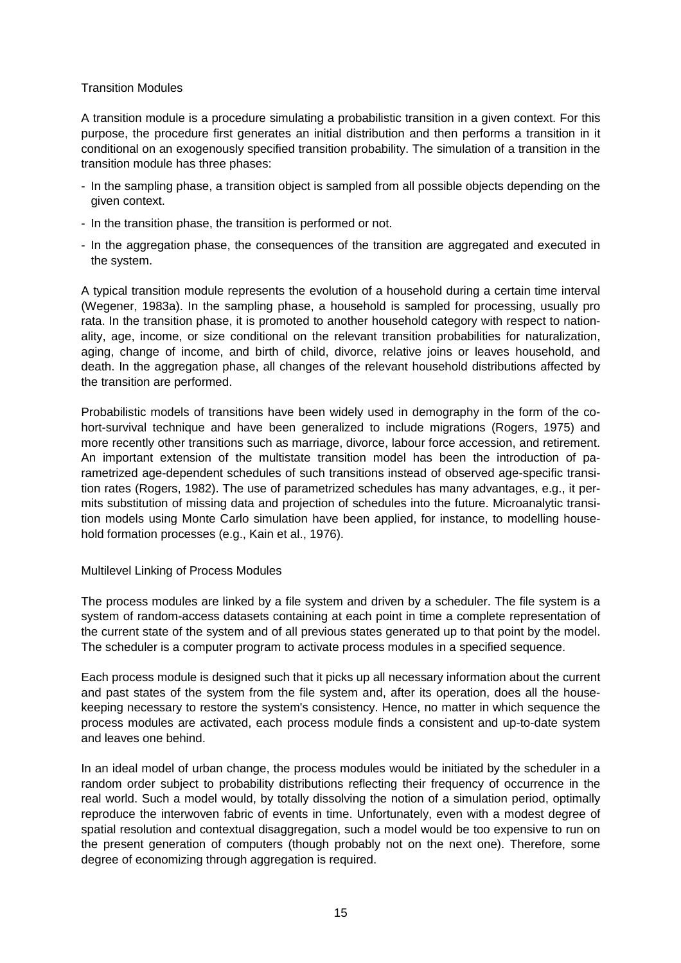## Transition Modules

A transition module is a procedure simulating a probabilistic transition in a given context. For this purpose, the procedure first generates an initial distribution and then performs a transition in it conditional on an exogenously specified transition probability. The simulation of a transition in the transition module has three phases:

- In the sampling phase, a transition object is sampled from all possible objects depending on the given context.
- In the transition phase, the transition is performed or not.
- In the aggregation phase, the consequences of the transition are aggregated and executed in the system.

A typical transition module represents the evolution of a household during a certain time interval (Wegener, 1983a). In the sampling phase, a household is sampled for processing, usually pro rata. In the transition phase, it is promoted to another household category with respect to nationality, age, income, or size conditional on the relevant transition probabilities for naturalization, aging, change of income, and birth of child, divorce, relative joins or leaves household, and death. In the aggregation phase, all changes of the relevant household distributions affected by the transition are performed.

Probabilistic models of transitions have been widely used in demography in the form of the cohort-survival technique and have been generalized to include migrations (Rogers, 1975) and more recently other transitions such as marriage, divorce, labour force accession, and retirement. An important extension of the multistate transition model has been the introduction of parametrized age-dependent schedules of such transitions instead of observed age-specific transition rates (Rogers, 1982). The use of parametrized schedules has many advantages, e.g., it permits substitution of missing data and projection of schedules into the future. Microanalytic transition models using Monte Carlo simulation have been applied, for instance, to modelling household formation processes (e.g., Kain et al., 1976).

### Multilevel Linking of Process Modules

The process modules are linked by a file system and driven by a scheduler. The file system is a system of random-access datasets containing at each point in time a complete representation of the current state of the system and of all previous states generated up to that point by the model. The scheduler is a computer program to activate process modules in a specified sequence.

Each process module is designed such that it picks up all necessary information about the current and past states of the system from the file system and, after its operation, does all the housekeeping necessary to restore the system's consistency. Hence, no matter in which sequence the process modules are activated, each process module finds a consistent and up-to-date system and leaves one behind.

In an ideal model of urban change, the process modules would be initiated by the scheduler in a random order subject to probability distributions reflecting their frequency of occurrence in the real world. Such a model would, by totally dissolving the notion of a simulation period, optimally reproduce the interwoven fabric of events in time. Unfortunately, even with a modest degree of spatial resolution and contextual disaggregation, such a model would be too expensive to run on the present generation of computers (though probably not on the next one). Therefore, some degree of economizing through aggregation is required.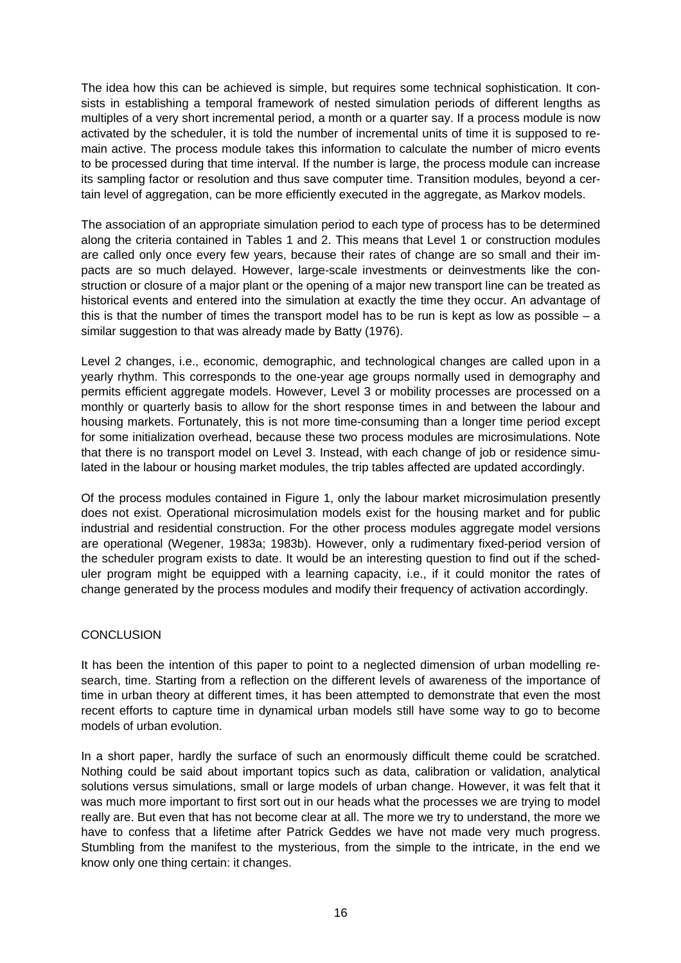The idea how this can be achieved is simple, but requires some technical sophistication. It consists in establishing a temporal framework of nested simulation periods of different lengths as multiples of a very short incremental period, a month or a quarter say. If a process module is now activated by the scheduler, it is told the number of incremental units of time it is supposed to remain active. The process module takes this information to calculate the number of micro events to be processed during that time interval. If the number is large, the process module can increase its sampling factor or resolution and thus save computer time. Transition modules, beyond a certain level of aggregation, can be more efficiently executed in the aggregate, as Markov models.

The association of an appropriate simulation period to each type of process has to be determined along the criteria contained in Tables 1 and 2. This means that Level 1 or construction modules are called only once every few years, because their rates of change are so small and their impacts are so much delayed. However, large-scale investments or deinvestments like the construction or closure of a major plant or the opening of a major new transport line can be treated as historical events and entered into the simulation at exactly the time they occur. An advantage of this is that the number of times the transport model has to be run is kept as low as possible  $-$  a similar suggestion to that was already made by Batty (1976).

Level 2 changes, i.e., economic, demographic, and technological changes are called upon in a yearly rhythm. This corresponds to the one-year age groups normally used in demography and permits efficient aggregate models. However, Level 3 or mobility processes are processed on a monthly or quarterly basis to allow for the short response times in and between the labour and housing markets. Fortunately, this is not more time-consuming than a longer time period except for some initialization overhead, because these two process modules are microsimulations. Note that there is no transport model on Level 3. Instead, with each change of job or residence simulated in the labour or housing market modules, the trip tables affected are updated accordingly.

Of the process modules contained in Figure 1, only the labour market microsimulation presently does not exist. Operational microsimulation models exist for the housing market and for public industrial and residential construction. For the other process modules aggregate model versions are operational (Wegener, 1983a; 1983b). However, only a rudimentary fixed-period version of the scheduler program exists to date. It would be an interesting question to find out if the scheduler program might be equipped with a learning capacity, i.e., if it could monitor the rates of change generated by the process modules and modify their frequency of activation accordingly.

### **CONCLUSION**

It has been the intention of this paper to point to a neglected dimension of urban modelling research, time. Starting from a reflection on the different levels of awareness of the importance of time in urban theory at different times, it has been attempted to demonstrate that even the most recent efforts to capture time in dynamical urban models still have some way to go to become models of urban evolution.

In a short paper, hardly the surface of such an enormously difficult theme could be scratched. Nothing could be said about important topics such as data, calibration or validation, analytical solutions versus simulations, small or large models of urban change. However, it was felt that it was much more important to first sort out in our heads what the processes we are trying to model really are. But even that has not become clear at all. The more we try to understand, the more we have to confess that a lifetime after Patrick Geddes we have not made very much progress. Stumbling from the manifest to the mysterious, from the simple to the intricate, in the end we know only one thing certain: it changes.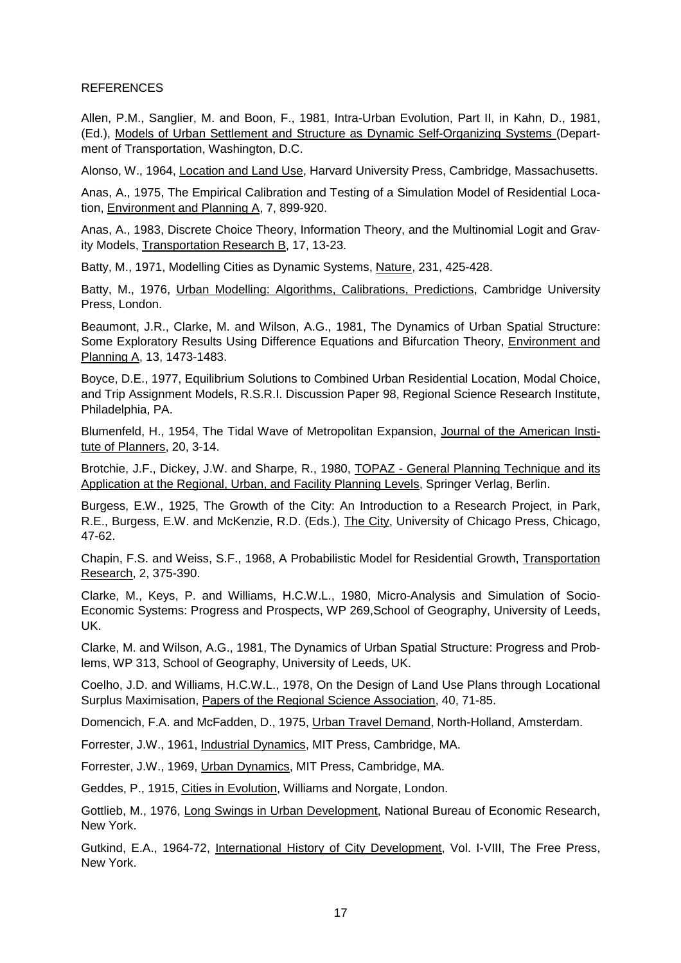### **REFERENCES**

Allen, P.M., Sanglier, M. and Boon, F., 1981, Intra-Urban Evolution, Part II, in Kahn, D., 1981, (Ed.), Models of Urban Settlement and Structure as Dynamic Self-Organizing Systems (Department of Transportation, Washington, D.C.

Alonso, W., 1964, Location and Land Use, Harvard University Press, Cambridge, Massachusetts.

Anas, A., 1975, The Empirical Calibration and Testing of a Simulation Model of Residential Location, Environment and Planning A, 7, 899-920.

Anas, A., 1983, Discrete Choice Theory, Information Theory, and the Multinomial Logit and Gravity Models, Transportation Research B, 17, 13-23.

Batty, M., 1971, Modelling Cities as Dynamic Systems, Nature, 231, 425-428.

Batty, M., 1976, Urban Modelling: Algorithms, Calibrations, Predictions, Cambridge University Press, London.

Beaumont, J.R., Clarke, M. and Wilson, A.G., 1981, The Dynamics of Urban Spatial Structure: Some Exploratory Results Using Difference Equations and Bifurcation Theory, Environment and Planning A, 13, 1473-1483.

Boyce, D.E., 1977, Equilibrium Solutions to Combined Urban Residential Location, Modal Choice, and Trip Assignment Models, R.S.R.I. Discussion Paper 98, Regional Science Research Institute, Philadelphia, PA.

Blumenfeld, H., 1954, The Tidal Wave of Metropolitan Expansion, Journal of the American Institute of Planners, 20, 3-14.

Brotchie, J.F., Dickey, J.W. and Sharpe, R., 1980, TOPAZ - General Planning Technique and its Application at the Regional, Urban, and Facility Planning Levels, Springer Verlag, Berlin.

Burgess, E.W., 1925, The Growth of the City: An Introduction to a Research Project, in Park, R.E., Burgess, E.W. and McKenzie, R.D. (Eds.), The City, University of Chicago Press, Chicago, 47-62.

Chapin, F.S. and Weiss, S.F., 1968, A Probabilistic Model for Residential Growth, Transportation Research, 2, 375-390.

Clarke, M., Keys, P. and Williams, H.C.W.L., 1980, Micro-Analysis and Simulation of Socio-Economic Systems: Progress and Prospects, WP 269,School of Geography, University of Leeds, UK.

Clarke, M. and Wilson, A.G., 1981, The Dynamics of Urban Spatial Structure: Progress and Problems, WP 313, School of Geography, University of Leeds, UK.

Coelho, J.D. and Williams, H.C.W.L., 1978, On the Design of Land Use Plans through Locational Surplus Maximisation, Papers of the Regional Science Association, 40, 71-85.

Domencich, F.A. and McFadden, D., 1975, Urban Travel Demand, North-Holland, Amsterdam.

Forrester, J.W., 1961, Industrial Dynamics, MIT Press, Cambridge, MA.

Forrester, J.W., 1969, Urban Dynamics, MIT Press, Cambridge, MA.

Geddes, P., 1915, Cities in Evolution, Williams and Norgate, London.

Gottlieb, M., 1976, Long Swings in Urban Development, National Bureau of Economic Research, New York.

Gutkind, E.A., 1964-72, International History of City Development, Vol. I-VIII, The Free Press, New York.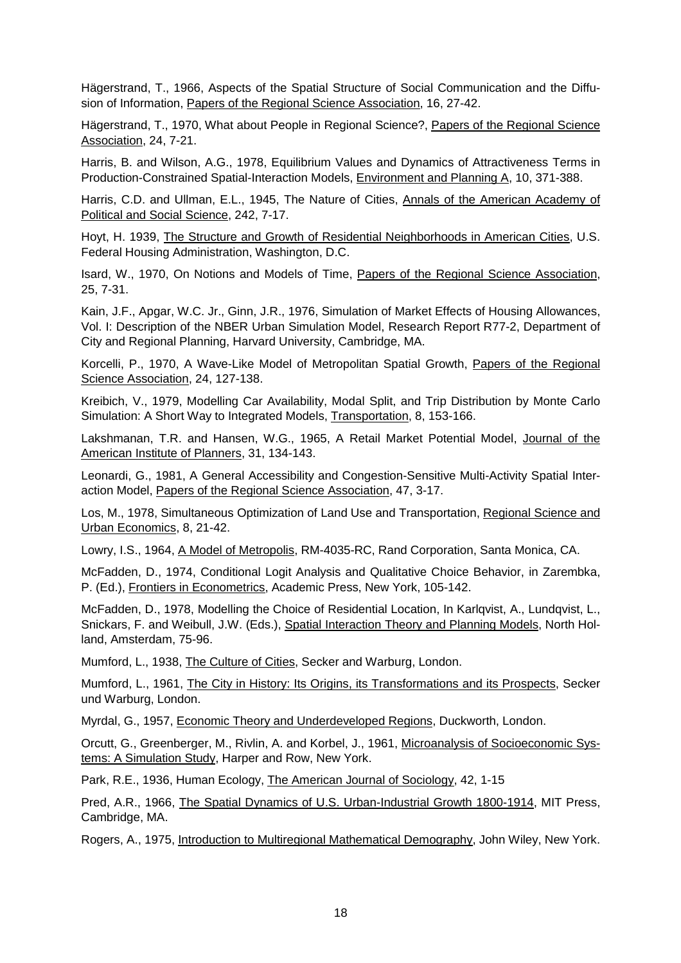Hägerstrand, T., 1966, Aspects of the Spatial Structure of Social Communication and the Diffusion of Information, Papers of the Regional Science Association, 16, 27-42.

Hägerstrand, T., 1970, What about People in Regional Science?, Papers of the Regional Science Association, 24, 7-21.

Harris, B. and Wilson, A.G., 1978, Equilibrium Values and Dynamics of Attractiveness Terms in Production-Constrained Spatial-Interaction Models, Environment and Planning A, 10, 371-388.

Harris, C.D. and Ullman, E.L., 1945, The Nature of Cities, Annals of the American Academy of Political and Social Science, 242, 7-17.

Hoyt, H. 1939, The Structure and Growth of Residential Neighborhoods in American Cities, U.S. Federal Housing Administration, Washington, D.C.

Isard, W., 1970, On Notions and Models of Time, Papers of the Regional Science Association, 25, 7-31.

Kain, J.F., Apgar, W.C. Jr., Ginn, J.R., 1976, Simulation of Market Effects of Housing Allowances, Vol. I: Description of the NBER Urban Simulation Model, Research Report R77-2, Department of City and Regional Planning, Harvard University, Cambridge, MA.

Korcelli, P., 1970, A Wave-Like Model of Metropolitan Spatial Growth, Papers of the Regional Science Association, 24, 127-138.

Kreibich, V., 1979, Modelling Car Availability, Modal Split, and Trip Distribution by Monte Carlo Simulation: A Short Way to Integrated Models, Transportation, 8, 153-166.

Lakshmanan, T.R. and Hansen, W.G., 1965, A Retail Market Potential Model, Journal of the American Institute of Planners, 31, 134-143.

Leonardi, G., 1981, A General Accessibility and Congestion-Sensitive Multi-Activity Spatial Interaction Model, Papers of the Regional Science Association, 47, 3-17.

Los, M., 1978, Simultaneous Optimization of Land Use and Transportation, Regional Science and Urban Economics, 8, 21-42.

Lowry, I.S., 1964, A Model of Metropolis, RM-4035-RC, Rand Corporation, Santa Monica, CA.

McFadden, D., 1974, Conditional Logit Analysis and Qualitative Choice Behavior, in Zarembka, P. (Ed.), Frontiers in Econometrics, Academic Press, New York, 105-142.

McFadden, D., 1978, Modelling the Choice of Residential Location, In Karlqvist, A., Lundqvist, L., Snickars, F. and Weibull, J.W. (Eds.), Spatial Interaction Theory and Planning Models, North Holland, Amsterdam, 75-96.

Mumford, L., 1938, The Culture of Cities, Secker and Warburg, London.

Mumford, L., 1961, The City in History: Its Origins, its Transformations and its Prospects, Secker und Warburg, London.

Myrdal, G., 1957, Economic Theory and Underdeveloped Regions, Duckworth, London.

Orcutt, G., Greenberger, M., Rivlin, A. and Korbel, J., 1961, Microanalysis of Socioeconomic Systems: A Simulation Study, Harper and Row, New York.

Park, R.E., 1936, Human Ecology, The American Journal of Sociology, 42, 1-15

Pred, A.R., 1966, The Spatial Dynamics of U.S. Urban-Industrial Growth 1800-1914, MIT Press, Cambridge, MA.

Rogers, A., 1975, Introduction to Multiregional Mathematical Demography, John Wiley, New York.